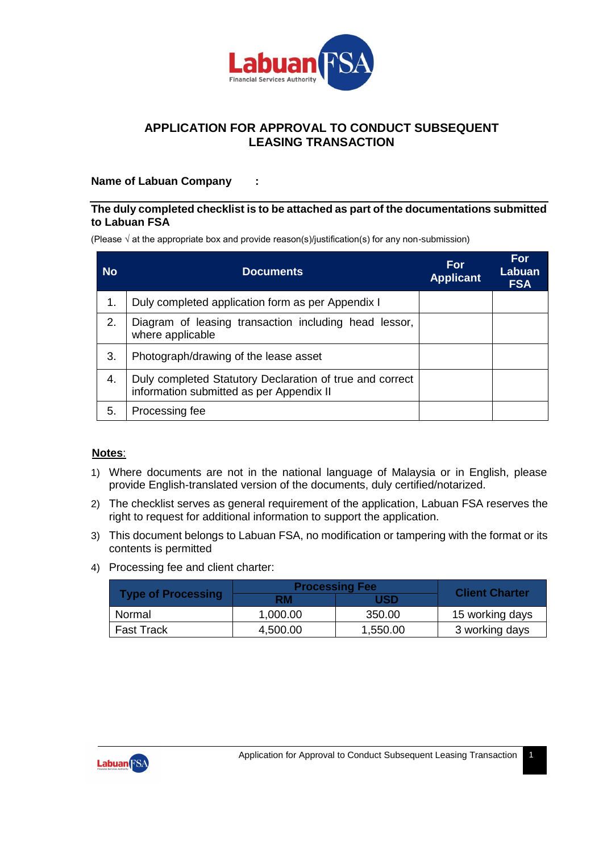

# **APPLICATION FOR APPROVAL TO CONDUCT SUBSEQUENT LEASING TRANSACTION**

### **Name of Labuan Company :**

#### **The duly completed checklist is to be attached as part of the documentations submitted to Labuan FSA**

(Please  $\sqrt{ }$  at the appropriate box and provide reason(s)/justification(s) for any non-submission)

| <b>No</b> | <b>Documents</b>                                                                                     | <b>For</b><br><b>Applicant</b> | For<br>Labuan<br><b>FSA</b> |
|-----------|------------------------------------------------------------------------------------------------------|--------------------------------|-----------------------------|
| 1.        | Duly completed application form as per Appendix I                                                    |                                |                             |
| 2.        | Diagram of leasing transaction including head lessor,<br>where applicable                            |                                |                             |
| 3.        | Photograph/drawing of the lease asset                                                                |                                |                             |
| 4.        | Duly completed Statutory Declaration of true and correct<br>information submitted as per Appendix II |                                |                             |
| 5.        | Processing fee                                                                                       |                                |                             |

### **Notes**:

- 1) Where documents are not in the national language of Malaysia or in English, please provide English-translated version of the documents, duly certified/notarized.
- 2) The checklist serves as general requirement of the application, Labuan FSA reserves the right to request for additional information to support the application.
- 3) This document belongs to Labuan FSA, no modification or tampering with the format or its contents is permitted
- 4) Processing fee and client charter:

|                           | <b>Processing Fee</b> | <b>Client Charter</b> |                 |
|---------------------------|-----------------------|-----------------------|-----------------|
| <b>Type of Processing</b> | RM                    | USD                   |                 |
| Normal                    | 1.000.00              | 350.00                | 15 working days |
| <b>Fast Track</b>         | 4.500.00              | 1,550.00              | 3 working days  |

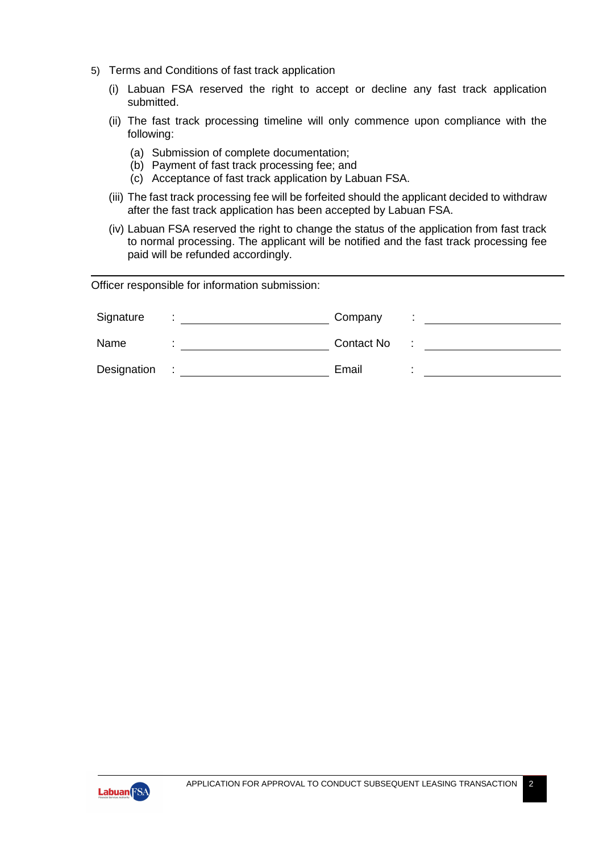- 5) Terms and Conditions of fast track application
	- (i) Labuan FSA reserved the right to accept or decline any fast track application submitted.
	- (ii) The fast track processing timeline will only commence upon compliance with the following:
		- (a) Submission of complete documentation;
		- (b) Payment of fast track processing fee; and
		- (c) Acceptance of fast track application by Labuan FSA.
	- (iii) The fast track processing fee will be forfeited should the applicant decided to withdraw after the fast track application has been accepted by Labuan FSA.
	- (iv) Labuan FSA reserved the right to change the status of the application from fast track to normal processing. The applicant will be notified and the fast track processing fee paid will be refunded accordingly.

Officer responsible for information submission:

| Signature   | Company    | $\blacksquare$ |
|-------------|------------|----------------|
| Name        | Contact No |                |
| Designation | Email      |                |

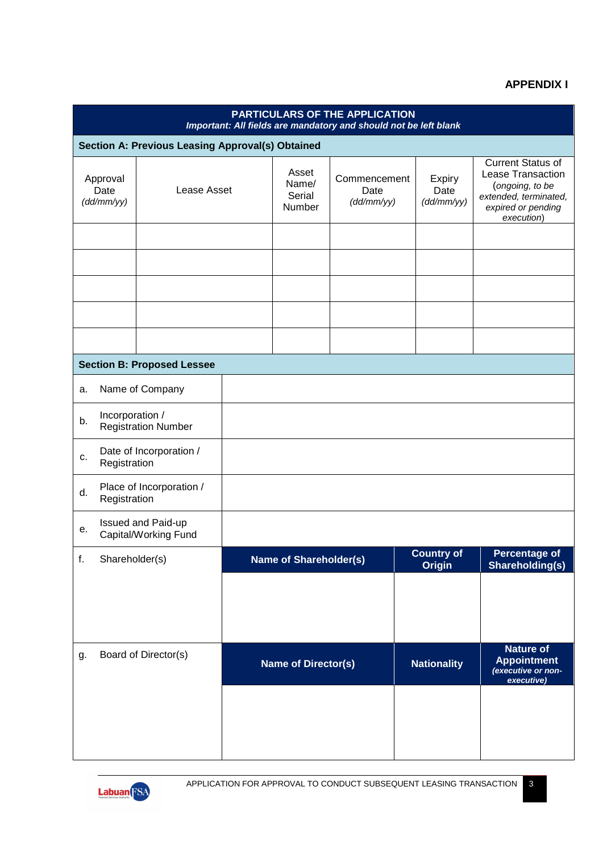## **APPENDIX I**

|                                                         | PARTICULARS OF THE APPLICATION<br>Important: All fields are mandatory and should not be left blank |                                   |                                    |                                    |                                    |                                         |                                                                                                                               |                                                                            |
|---------------------------------------------------------|----------------------------------------------------------------------------------------------------|-----------------------------------|------------------------------------|------------------------------------|------------------------------------|-----------------------------------------|-------------------------------------------------------------------------------------------------------------------------------|----------------------------------------------------------------------------|
|                                                         | Section A: Previous Leasing Approval(s) Obtained                                                   |                                   |                                    |                                    |                                    |                                         |                                                                                                                               |                                                                            |
| Approval<br>Lease Asset<br>Date<br>(dd/mm/yy)           |                                                                                                    |                                   | Asset<br>Name/<br>Serial<br>Number | Commencement<br>Date<br>(dd/mm/yy) |                                    | Expiry<br>Date<br>(dd/mm/yy)            | <b>Current Status of</b><br>Lease Transaction<br>(ongoing, to be<br>extended, terminated,<br>expired or pending<br>execution) |                                                                            |
|                                                         |                                                                                                    |                                   |                                    |                                    |                                    |                                         |                                                                                                                               |                                                                            |
|                                                         |                                                                                                    |                                   |                                    |                                    |                                    |                                         |                                                                                                                               |                                                                            |
|                                                         |                                                                                                    |                                   |                                    |                                    |                                    |                                         |                                                                                                                               |                                                                            |
|                                                         |                                                                                                    |                                   |                                    |                                    |                                    |                                         |                                                                                                                               |                                                                            |
|                                                         |                                                                                                    |                                   |                                    |                                    |                                    |                                         |                                                                                                                               |                                                                            |
|                                                         |                                                                                                    | <b>Section B: Proposed Lessee</b> |                                    |                                    |                                    |                                         |                                                                                                                               |                                                                            |
| a.                                                      |                                                                                                    | Name of Company                   |                                    |                                    |                                    |                                         |                                                                                                                               |                                                                            |
| Incorporation /<br>b.<br><b>Registration Number</b>     |                                                                                                    |                                   |                                    |                                    |                                    |                                         |                                                                                                                               |                                                                            |
| Date of Incorporation /<br>c.<br>Registration           |                                                                                                    |                                   |                                    |                                    |                                    |                                         |                                                                                                                               |                                                                            |
| Place of Incorporation /<br>d.<br>Registration          |                                                                                                    |                                   |                                    |                                    |                                    |                                         |                                                                                                                               |                                                                            |
| <b>Issued and Paid-up</b><br>е.<br>Capital/Working Fund |                                                                                                    |                                   |                                    |                                    |                                    |                                         |                                                                                                                               |                                                                            |
| Shareholder(s)<br>f.                                    |                                                                                                    | <b>Name of Shareholder(s)</b>     |                                    |                                    | <b>Country of</b><br><b>Origin</b> | <b>Percentage of</b><br>Shareholding(s) |                                                                                                                               |                                                                            |
|                                                         |                                                                                                    |                                   |                                    |                                    |                                    |                                         |                                                                                                                               |                                                                            |
|                                                         |                                                                                                    |                                   |                                    |                                    |                                    |                                         |                                                                                                                               |                                                                            |
|                                                         |                                                                                                    |                                   |                                    |                                    |                                    |                                         |                                                                                                                               |                                                                            |
| g.                                                      |                                                                                                    | Board of Director(s)              |                                    | <b>Name of Director(s)</b>         |                                    |                                         | <b>Nationality</b>                                                                                                            | <b>Nature of</b><br><b>Appointment</b><br>(executive or non-<br>executive) |
|                                                         |                                                                                                    |                                   |                                    |                                    |                                    |                                         |                                                                                                                               |                                                                            |
|                                                         |                                                                                                    |                                   |                                    |                                    |                                    |                                         |                                                                                                                               |                                                                            |
|                                                         |                                                                                                    |                                   |                                    |                                    |                                    |                                         |                                                                                                                               |                                                                            |

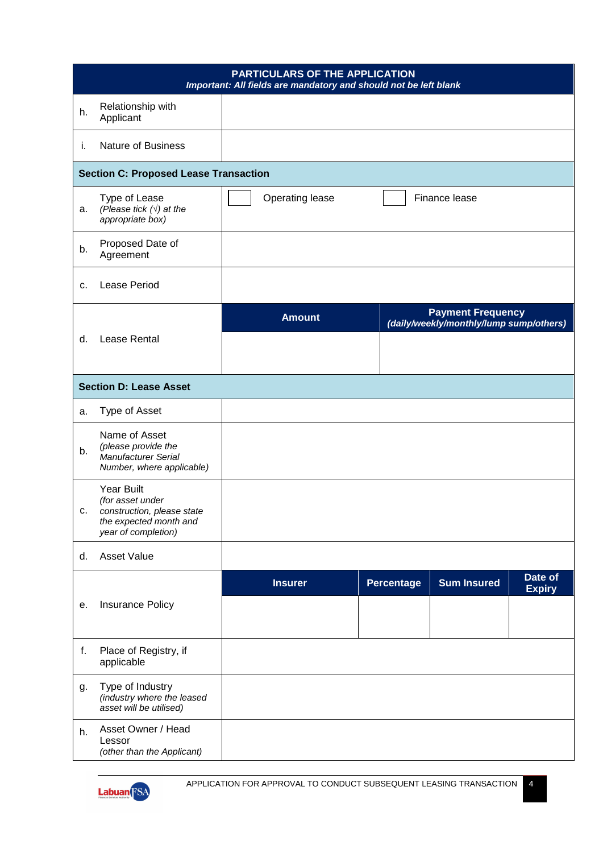|    | <b>PARTICULARS OF THE APPLICATION</b><br>Important: All fields are mandatory and should not be left blank     |  |                 |  |            |                                                                     |                          |
|----|---------------------------------------------------------------------------------------------------------------|--|-----------------|--|------------|---------------------------------------------------------------------|--------------------------|
| h. | Relationship with<br>Applicant                                                                                |  |                 |  |            |                                                                     |                          |
| i. | <b>Nature of Business</b>                                                                                     |  |                 |  |            |                                                                     |                          |
|    | <b>Section C: Proposed Lease Transaction</b>                                                                  |  |                 |  |            |                                                                     |                          |
| a. | Type of Lease<br>(Please tick $(\sqrt{})$ ) at the<br>appropriate box)                                        |  | Operating lease |  |            | Finance lease                                                       |                          |
| b. | Proposed Date of<br>Agreement                                                                                 |  |                 |  |            |                                                                     |                          |
| с. | <b>Lease Period</b>                                                                                           |  |                 |  |            |                                                                     |                          |
|    |                                                                                                               |  | <b>Amount</b>   |  |            | <b>Payment Frequency</b><br>(daily/weekly/monthly/lump sump/others) |                          |
| d. | Lease Rental                                                                                                  |  |                 |  |            |                                                                     |                          |
|    | <b>Section D: Lease Asset</b>                                                                                 |  |                 |  |            |                                                                     |                          |
| а. | Type of Asset                                                                                                 |  |                 |  |            |                                                                     |                          |
| b. | Name of Asset<br>(please provide the<br><b>Manufacturer Serial</b><br>Number, where applicable)               |  |                 |  |            |                                                                     |                          |
| с. | Year Built<br>(for asset under<br>construction, please state<br>the expected month and<br>year of completion) |  |                 |  |            |                                                                     |                          |
| d. | <b>Asset Value</b>                                                                                            |  |                 |  |            |                                                                     |                          |
|    |                                                                                                               |  | <b>Insurer</b>  |  | Percentage | <b>Sum Insured</b>                                                  | Date of<br><b>Expiry</b> |
| е. | Insurance Policy                                                                                              |  |                 |  |            |                                                                     |                          |
| f. | Place of Registry, if<br>applicable                                                                           |  |                 |  |            |                                                                     |                          |
| g. | Type of Industry<br>(industry where the leased<br>asset will be utilised)                                     |  |                 |  |            |                                                                     |                          |
| h. | Asset Owner / Head<br>Lessor<br>(other than the Applicant)                                                    |  |                 |  |            |                                                                     |                          |

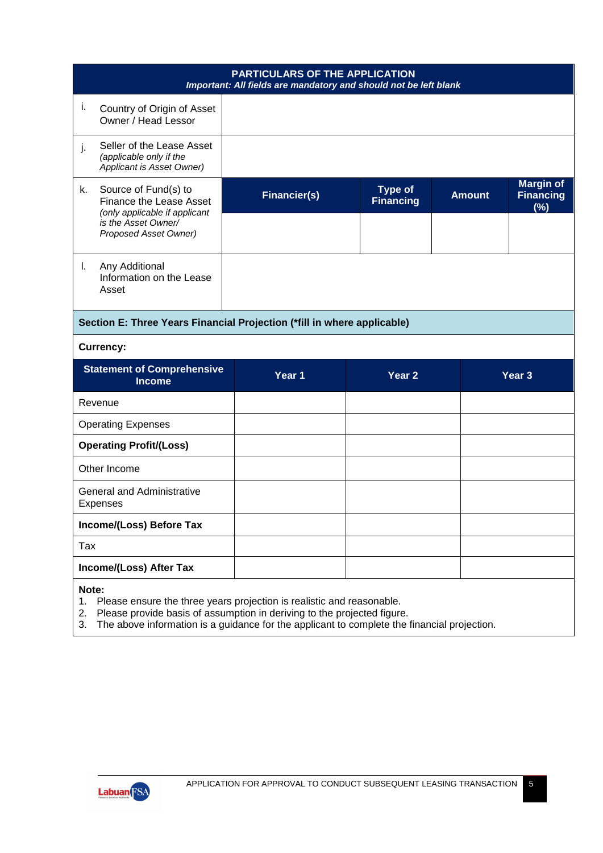|                         |                                                                                                                                                  | PARTICULARS OF THE APPLICATION<br>Important: All fields are mandatory and should not be left blank |                                    |               |                                             |
|-------------------------|--------------------------------------------------------------------------------------------------------------------------------------------------|----------------------------------------------------------------------------------------------------|------------------------------------|---------------|---------------------------------------------|
| j.                      | Country of Origin of Asset<br>Owner / Head Lessor                                                                                                |                                                                                                    |                                    |               |                                             |
| j.                      | Seller of the Lease Asset<br>(applicable only if the<br>Applicant is Asset Owner)                                                                |                                                                                                    |                                    |               |                                             |
| k.                      | Source of Fund(s) to<br>Finance the Lease Asset<br>(only applicable if applicant<br>is the Asset Owner/<br><b>Proposed Asset Owner)</b>          | <b>Financier(s)</b>                                                                                | <b>Type of</b><br><b>Financing</b> | <b>Amount</b> | <b>Margin of</b><br><b>Financing</b><br>(%) |
|                         |                                                                                                                                                  |                                                                                                    |                                    |               |                                             |
| L.                      | Any Additional<br>Information on the Lease<br>Asset                                                                                              |                                                                                                    |                                    |               |                                             |
|                         | Section E: Three Years Financial Projection (*fill in where applicable)                                                                          |                                                                                                    |                                    |               |                                             |
|                         | <b>Currency:</b>                                                                                                                                 |                                                                                                    |                                    |               |                                             |
|                         | <b>Statement of Comprehensive</b><br><b>Income</b>                                                                                               | Year <sub>1</sub>                                                                                  | Year <sub>2</sub>                  |               | Year <sub>3</sub>                           |
| Revenue                 |                                                                                                                                                  |                                                                                                    |                                    |               |                                             |
|                         | <b>Operating Expenses</b>                                                                                                                        |                                                                                                    |                                    |               |                                             |
|                         | <b>Operating Profit/(Loss)</b>                                                                                                                   |                                                                                                    |                                    |               |                                             |
|                         | Other Income                                                                                                                                     |                                                                                                    |                                    |               |                                             |
|                         | <b>General and Administrative</b><br><b>Expenses</b>                                                                                             |                                                                                                    |                                    |               |                                             |
|                         | Income/(Loss) Before Tax                                                                                                                         |                                                                                                    |                                    |               |                                             |
| Tax                     |                                                                                                                                                  |                                                                                                    |                                    |               |                                             |
| Income/(Loss) After Tax |                                                                                                                                                  |                                                                                                    |                                    |               |                                             |
| Note:<br>1.<br>2.       | Please ensure the three years projection is realistic and reasonable.<br>Please provide basis of assumption in deriving to the projected figure. |                                                                                                    |                                    |               |                                             |

3. The above information is a guidance for the applicant to complete the financial projection.